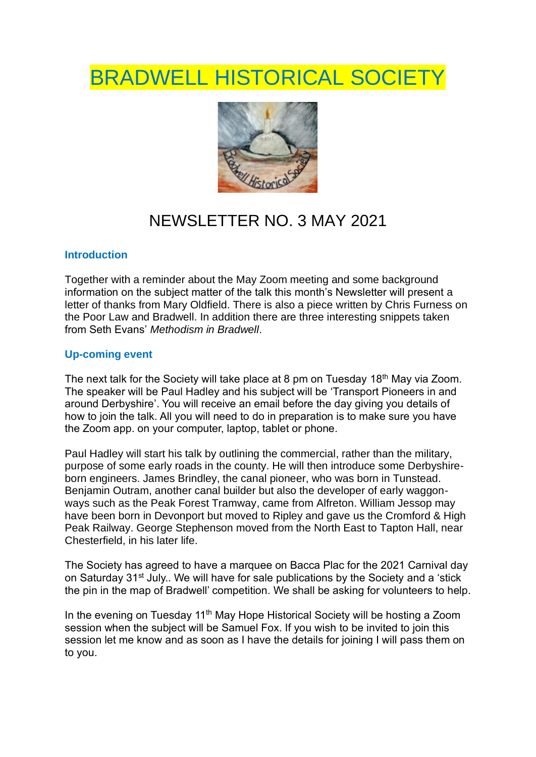# **BRADWELL HISTORICAL SOCIETY**



## NEWSLETTER NO. 3 MAY 2021

### **Introduction**

Together with a reminder about the May Zoom meeting and some background information on the subject matter of the talk this month's Newsletter will present a letter of thanks from Mary Oldfield. There is also a piece written by Chris Furness on the Poor Law and Bradwell. In addition there are three interesting snippets taken from Seth Evans' *Methodism in Bradwell*.

### **Up-coming event**

The next talk for the Society will take place at 8 pm on Tuesday 18<sup>th</sup> May via Zoom. The speaker will be Paul Hadley and his subject will be 'Transport Pioneers in and around Derbyshire'. You will receive an email before the day giving you details of how to join the talk. All you will need to do in preparation is to make sure you have the Zoom app. on your computer, laptop, tablet or phone.

Paul Hadley will start his talk by outlining the commercial, rather than the military, purpose of some early roads in the county. He will then introduce some Derbyshireborn engineers. James Brindley, the canal pioneer, who was born in Tunstead. Benjamin Outram, another canal builder but also the developer of early waggonways such as the Peak Forest Tramway, came from Alfreton. William Jessop may have been born in Devonport but moved to Ripley and gave us the Cromford & High Peak Railway. George Stephenson moved from the North East to Tapton Hall, near Chesterfield, in his later life.

The Society has agreed to have a marquee on Bacca Plac for the 2021 Carnival day on Saturday 31<sup>st</sup> July.. We will have for sale publications by the Society and a 'stick the pin in the map of Bradwell' competition. We shall be asking for volunteers to help.

In the evening on Tuesday 11<sup>th</sup> May Hope Historical Society will be hosting a Zoom session when the subject will be Samuel Fox. If you wish to be invited to join this session let me know and as soon as I have the details for joining I will pass them on to you.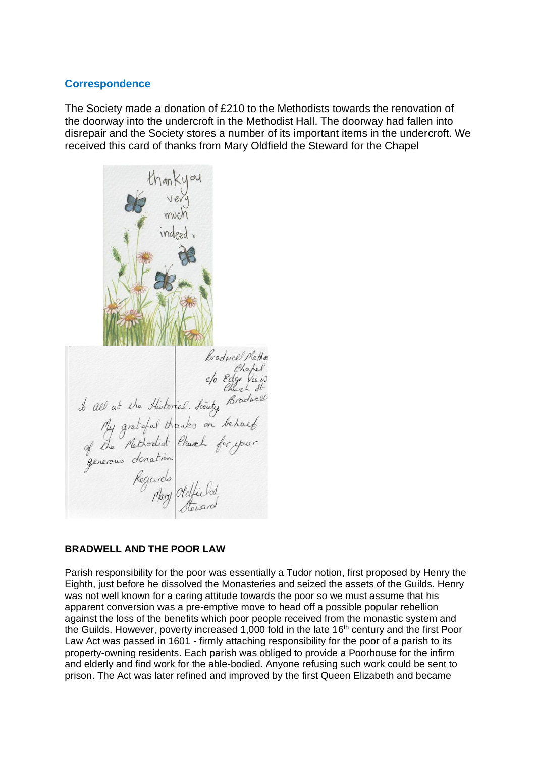#### **Correspondence**

The Society made a donation of £210 to the Methodists towards the renovation of the doorway into the undercroft in the Methodist Hall. The doorway had fallen into disrepair and the Society stores a number of its important items in the undercroft. We received this card of thanks from Mary Oldfield the Steward for the Chapel

Fradwel Methon<br>Bradwel Methon<br>del at the Historial Scenty Bradwell<br>My grateful thanks on behaved<br>of the Methodist Chuch for your<br>generous donation<br>Regards<br>Mary Oldfield

#### **BRADWELL AND THE POOR LAW**

Parish responsibility for the poor was essentially a Tudor notion, first proposed by Henry the Eighth, just before he dissolved the Monasteries and seized the assets of the Guilds. Henry was not well known for a caring attitude towards the poor so we must assume that his apparent conversion was a pre-emptive move to head off a possible popular rebellion against the loss of the benefits which poor people received from the monastic system and the Guilds. However, poverty increased 1,000 fold in the late 16<sup>th</sup> century and the first Poor Law Act was passed in 1601 - firmly attaching responsibility for the poor of a parish to its property-owning residents. Each parish was obliged to provide a Poorhouse for the infirm and elderly and find work for the able-bodied. Anyone refusing such work could be sent to prison. The Act was later refined and improved by the first Queen Elizabeth and became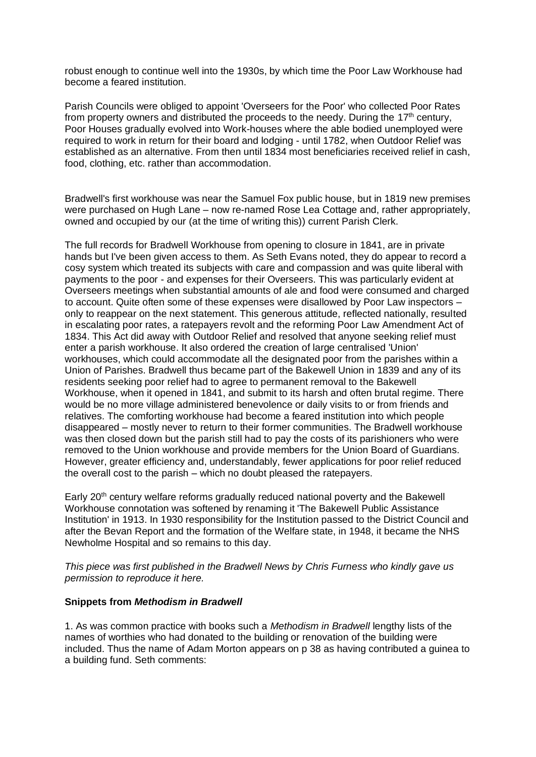robust enough to continue well into the 1930s, by which time the Poor Law Workhouse had become a feared institution.

Parish Councils were obliged to appoint 'Overseers for the Poor' who collected Poor Rates from property owners and distributed the proceeds to the needy. During the 17<sup>th</sup> century, Poor Houses gradually evolved into Work-houses where the able bodied unemployed were required to work in return for their board and lodging - until 1782, when Outdoor Relief was established as an alternative. From then until 1834 most beneficiaries received relief in cash, food, clothing, etc. rather than accommodation.

Bradwell's first workhouse was near the Samuel Fox public house, but in 1819 new premises were purchased on Hugh Lane – now re-named Rose Lea Cottage and, rather appropriately, owned and occupied by our (at the time of writing this)) current Parish Clerk.

The full records for Bradwell Workhouse from opening to closure in 1841, are in private hands but I've been given access to them. As Seth Evans noted, they do appear to record a cosy system which treated its subjects with care and compassion and was quite liberal with payments to the poor - and expenses for their Overseers. This was particularly evident at Overseers meetings when substantial amounts of ale and food were consumed and charged to account. Quite often some of these expenses were disallowed by Poor Law inspectors – only to reappear on the next statement. This generous attitude, reflected nationally, resulted in escalating poor rates, a ratepayers revolt and the reforming Poor Law Amendment Act of 1834. This Act did away with Outdoor Relief and resolved that anyone seeking relief must enter a parish workhouse. It also ordered the creation of large centralised 'Union' workhouses, which could accommodate all the designated poor from the parishes within a Union of Parishes. Bradwell thus became part of the Bakewell Union in 1839 and any of its residents seeking poor relief had to agree to permanent removal to the Bakewell Workhouse, when it opened in 1841, and submit to its harsh and often brutal regime. There would be no more village administered benevolence or daily visits to or from friends and relatives. The comforting workhouse had become a feared institution into which people disappeared – mostly never to return to their former communities. The Bradwell workhouse was then closed down but the parish still had to pay the costs of its parishioners who were removed to the Union workhouse and provide members for the Union Board of Guardians. However, greater efficiency and, understandably, fewer applications for poor relief reduced the overall cost to the parish – which no doubt pleased the ratepayers.

Early  $20<sup>th</sup>$  century welfare reforms gradually reduced national poverty and the Bakewell Workhouse connotation was softened by renaming it 'The Bakewell Public Assistance Institution' in 1913. In 1930 responsibility for the Institution passed to the District Council and after the Bevan Report and the formation of the Welfare state, in 1948, it became the NHS Newholme Hospital and so remains to this day.

*This piece was first published in the Bradwell News by Chris Furness who kindly gave us permission to reproduce it here.*

#### **Snippets from** *Methodism in Bradwell*

1. As was common practice with books such a *Methodism in Bradwell* lengthy lists of the names of worthies who had donated to the building or renovation of the building were included. Thus the name of Adam Morton appears on p 38 as having contributed a guinea to a building fund. Seth comments: